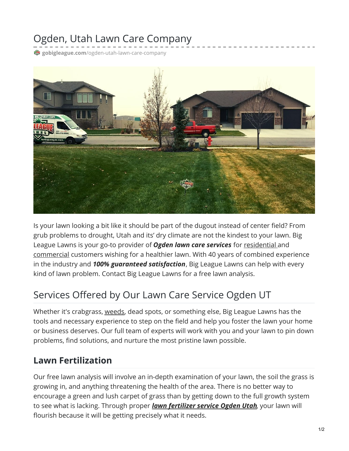# Ogden, Utah Lawn Care Company

**gobigleague.com**[/ogden-utah-lawn-care-company](https://gobigleague.com/ogden-utah-lawn-care-company/)



Is your lawn looking a bit like it should be part of the dugout instead of center field? From grub problems to drought, Utah and its' dry climate are not the kindest to your lawn. Big League Lawns is your go-to provider of *Ogden lawn care services* for [residential](https://gobigleague.com/residential-lawn-care-utah/) and [commercial](https://gobigleague.com/commercial-lawn-care/) customers wishing for a healthier lawn. With 40 years of combined experience in the industry and *100% guaranteed satisfaction*, Big League Lawns can help with every kind of lawn problem. Contact Big League Lawns for a free lawn analysis.

# Services Offered by Our Lawn Care Service Ogden UT

Whether it's crabgrass, [weeds](https://gobigleague.com/lawn-weed-control-company-utah/), dead spots, or something else, Big League Lawns has the tools and necessary experience to step on the field and help you foster the lawn your home or business deserves. Our full team of experts will work with you and your lawn to pin down problems, find solutions, and nurture the most pristine lawn possible.

#### **Lawn Fertilization**

Our free lawn analysis will involve an in-depth examination of your lawn, the soil the grass is growing in, and anything threatening the health of the area. There is no better way to encourage a green and lush carpet of grass than by getting down to the full growth system to see what is lacking. Through proper *lawn [fertilizer](https://gobigleague.com/lawn-fertilization-services-utah/) service Ogden Utah*, your lawn will flourish because it will be getting precisely what it needs.